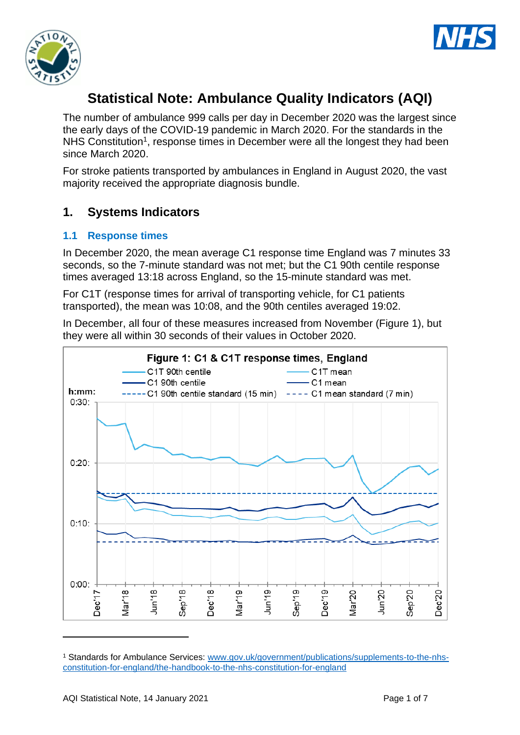



# **Statistical Note: Ambulance Quality Indicators (AQI)**

The number of ambulance 999 calls per day in December 2020 was the largest since the early days of the COVID-19 pandemic in March 2020. For the standards in the NHS Constitution<sup>1</sup>, response times in December were all the longest they had been since March 2020.

For stroke patients transported by ambulances in England in August 2020, the vast majority received the appropriate diagnosis bundle.

# **1. Systems Indicators**

#### **1.1 Response times**

In December 2020, the mean average C1 response time England was 7 minutes 33 seconds, so the 7-minute standard was not met; but the C1 90th centile response times averaged 13:18 across England, so the 15-minute standard was met.

For C1T (response times for arrival of transporting vehicle, for C1 patients transported), the mean was 10:08, and the 90th centiles averaged 19:02.

In December, all four of these measures increased from November (Figure 1), but they were all within 30 seconds of their values in October 2020.



<sup>1</sup> Standards for Ambulance Services: www.gov.uk/government/publications/supplements-to-the-nhsconstitution-for-england/the-handbook-to-the-nhs-constitution-for-england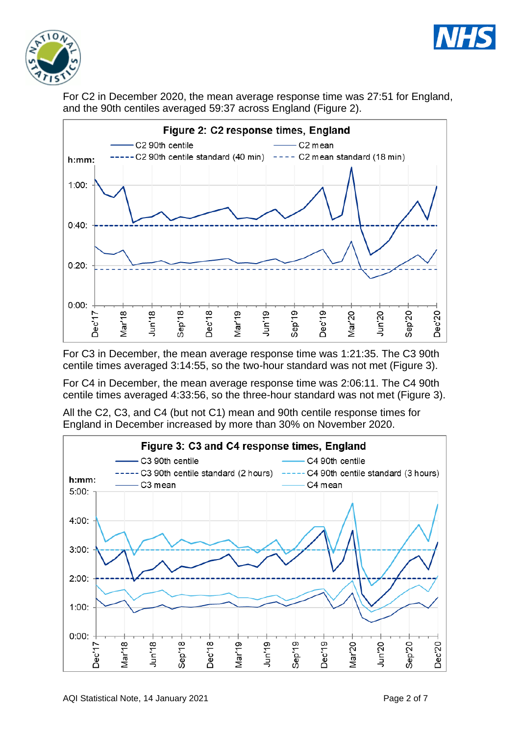



For C2 in December 2020, the mean average response time was 27:51 for England, and the 90th centiles averaged 59:37 across England (Figure 2).



For C3 in December, the mean average response time was 1:21:35. The C3 90th centile times averaged 3:14:55, so the two-hour standard was not met (Figure 3).

For C4 in December, the mean average response time was 2:06:11. The C4 90th centile times averaged 4:33:56, so the three-hour standard was not met (Figure 3).

All the C2, C3, and C4 (but not C1) mean and 90th centile response times for England in December increased by more than 30% on November 2020.

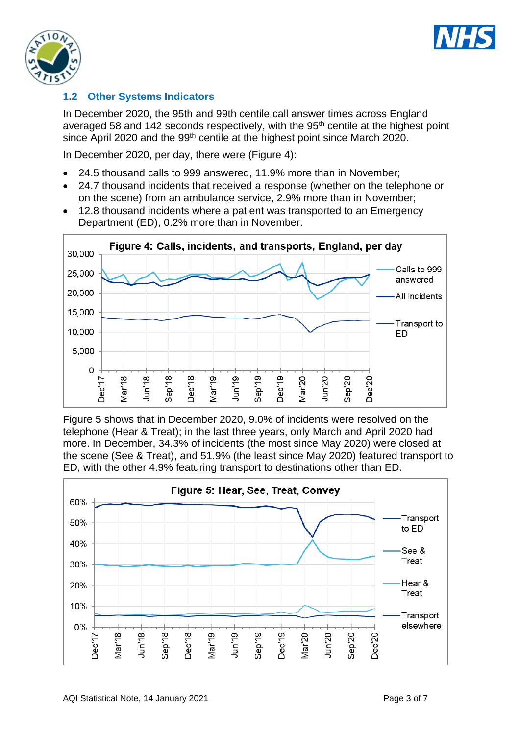



### **1.2 Other Systems Indicators**

In December 2020, the 95th and 99th centile call answer times across England averaged 58 and 142 seconds respectively, with the 95<sup>th</sup> centile at the highest point since April 2020 and the 99<sup>th</sup> centile at the highest point since March 2020.

In December 2020, per day, there were (Figure 4):

- 24.5 thousand calls to 999 answered, 11.9% more than in November;
- 24.7 thousand incidents that received a response (whether on the telephone or on the scene) from an ambulance service, 2.9% more than in November;
- 12.8 thousand incidents where a patient was transported to an Emergency Department (ED), 0.2% more than in November.



Figure 5 shows that in December 2020, 9.0% of incidents were resolved on the telephone (Hear & Treat); in the last three years, only March and April 2020 had more. In December, 34.3% of incidents (the most since May 2020) were closed at the scene (See & Treat), and 51.9% (the least since May 2020) featured transport to ED, with the other 4.9% featuring transport to destinations other than ED.

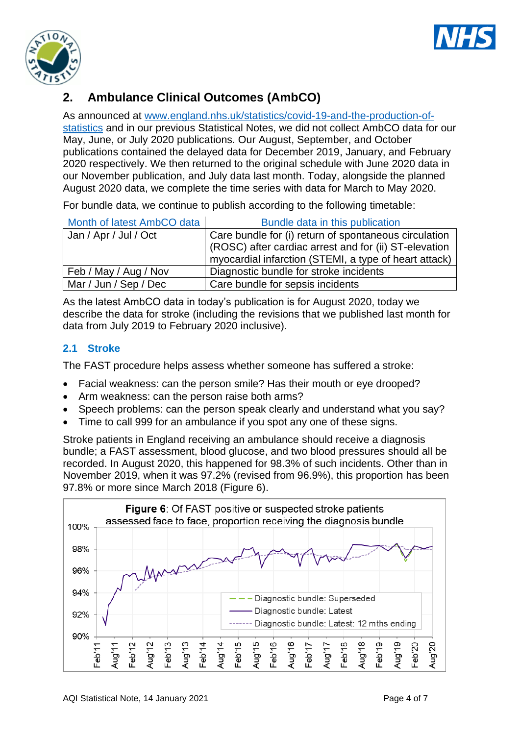



# **2. Ambulance Clinical Outcomes (AmbCO)**

As announced at [www.england.nhs.uk/statistics/covid-19-and-the-production-of](https://www.england.nhs.uk/statistics/covid-19-and-the-production-of-statistics/)[statistics](https://www.england.nhs.uk/statistics/covid-19-and-the-production-of-statistics/) and in our previous Statistical Notes, we did not collect AmbCO data for our May, June, or July 2020 publications. Our August, September, and October publications contained the delayed data for December 2019, January, and February 2020 respectively. We then returned to the original schedule with June 2020 data in our November publication, and July data last month. Today, alongside the planned August 2020 data, we complete the time series with data for March to May 2020.

For bundle data, we continue to publish according to the following timetable:

| Month of latest AmbCO data | Bundle data in this publication                       |
|----------------------------|-------------------------------------------------------|
| Jan / Apr / Jul / Oct      | Care bundle for (i) return of spontaneous circulation |
|                            | (ROSC) after cardiac arrest and for (ii) ST-elevation |
|                            | myocardial infarction (STEMI, a type of heart attack) |
| Feb / May / Aug / Nov      | Diagnostic bundle for stroke incidents                |
| Mar / Jun / Sep / Dec      | Care bundle for sepsis incidents                      |

As the latest AmbCO data in today's publication is for August 2020, today we describe the data for stroke (including the revisions that we published last month for data from July 2019 to February 2020 inclusive).

### **2.1 Stroke**

The FAST procedure helps assess whether someone has suffered a stroke:

- Facial weakness: can the person smile? Has their mouth or eye drooped?
- Arm weakness: can the person raise both arms?
- Speech problems: can the person speak clearly and understand what you say?
- Time to call 999 for an ambulance if you spot any one of these signs.

Stroke patients in England receiving an ambulance should receive a diagnosis bundle; a FAST assessment, blood glucose, and two blood pressures should all be recorded. In August 2020, this happened for 98.3% of such incidents. Other than in November 2019, when it was 97.2% (revised from 96.9%), this proportion has been 97.8% or more since March 2018 (Figure 6).

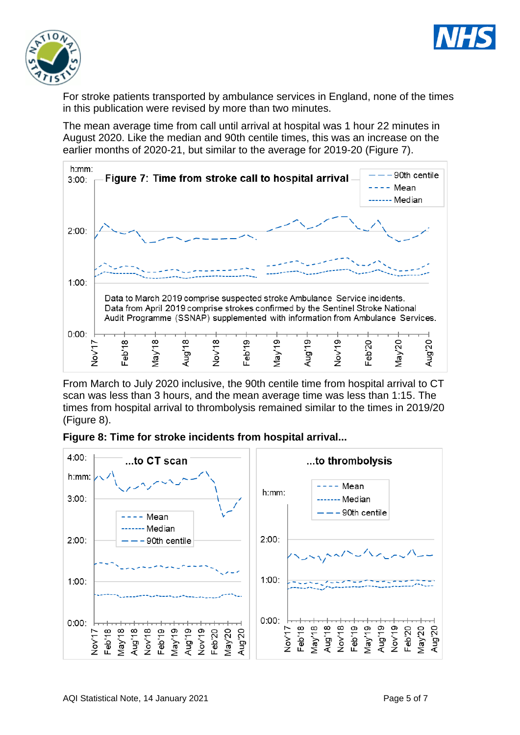



For stroke patients transported by ambulance services in England, none of the times in this publication were revised by more than two minutes.

The mean average time from call until arrival at hospital was 1 hour 22 minutes in August 2020. Like the median and 90th centile times, this was an increase on the earlier months of 2020-21, but similar to the average for 2019-20 (Figure 7).



From March to July 2020 inclusive, the 90th centile time from hospital arrival to CT scan was less than 3 hours, and the mean average time was less than 1:15. The times from hospital arrival to thrombolysis remained similar to the times in 2019/20 (Figure 8).



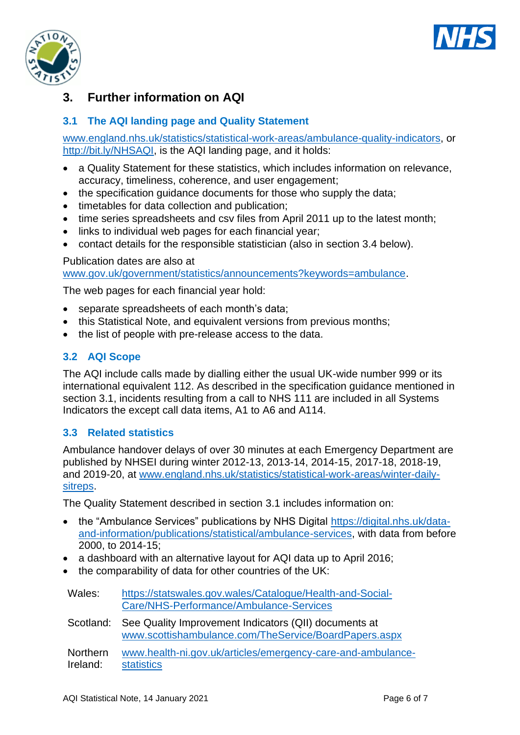



# **3. Further information on AQI**

## **3.1 The AQI landing page and Quality Statement**

[www.england.nhs.uk/statistics/statistical-work-areas/ambulance-quality-indicators,](http://www.england.nhs.uk/statistics/statistical-work-areas/ambulance-quality-indicators) or [http://bit.ly/NHSAQI,](http://bit.ly/NHSAQI) is the AQI landing page, and it holds:

- a Quality Statement for these statistics, which includes information on relevance, accuracy, timeliness, coherence, and user engagement;
- the specification quidance documents for those who supply the data;
- timetables for data collection and publication;
- time series spreadsheets and csv files from April 2011 up to the latest month;
- links to individual web pages for each financial year;
- contact details for the responsible statistician (also in section 3.4 below).

Publication dates are also at [www.gov.uk/government/statistics/announcements?keywords=ambulance.](http://www.gov.uk/government/statistics/announcements?keywords=ambulance)

The web pages for each financial year hold:

- separate spreadsheets of each month's data;
- this Statistical Note, and equivalent versions from previous months;
- the list of people with pre-release access to the data.

### **3.2 AQI Scope**

The AQI include calls made by dialling either the usual UK-wide number 999 or its international equivalent 112. As described in the specification guidance mentioned in section 3.1, incidents resulting from a call to NHS 111 are included in all Systems Indicators the except call data items, A1 to A6 and A114.

#### **3.3 Related statistics**

Ambulance handover delays of over 30 minutes at each Emergency Department are published by NHSEI during winter 2012-13, 2013-14, 2014-15, 2017-18, 2018-19, and 2019-20, at [www.england.nhs.uk/statistics/statistical-work-areas/winter-daily](http://www.england.nhs.uk/statistics/statistical-work-areas/winter-daily-sitreps)[sitreps.](http://www.england.nhs.uk/statistics/statistical-work-areas/winter-daily-sitreps)

The Quality Statement described in section 3.1 includes information on:

- the "Ambulance Services" publications by NHS Digital [https://digital.nhs.uk/data](https://digital.nhs.uk/data-and-information/publications/statistical/ambulance-services)[and-information/publications/statistical/ambulance-services,](https://digital.nhs.uk/data-and-information/publications/statistical/ambulance-services) with data from before 2000, to 2014-15;
- a dashboard with an alternative layout for AQI data up to April 2016;
- the comparability of data for other countries of the UK:

| Wales:               | https://statswales.gov.wales/Catalogue/Health-and-Social-<br>Care/NHS-Performance/Ambulance-Services                     |
|----------------------|--------------------------------------------------------------------------------------------------------------------------|
|                      | Scotland: See Quality Improvement Indicators (QII) documents at<br>www.scottishambulance.com/TheService/BoardPapers.aspx |
| Northern<br>Ireland: | www.health-ni.gov.uk/articles/emergency-care-and-ambulance-<br><b>statistics</b>                                         |